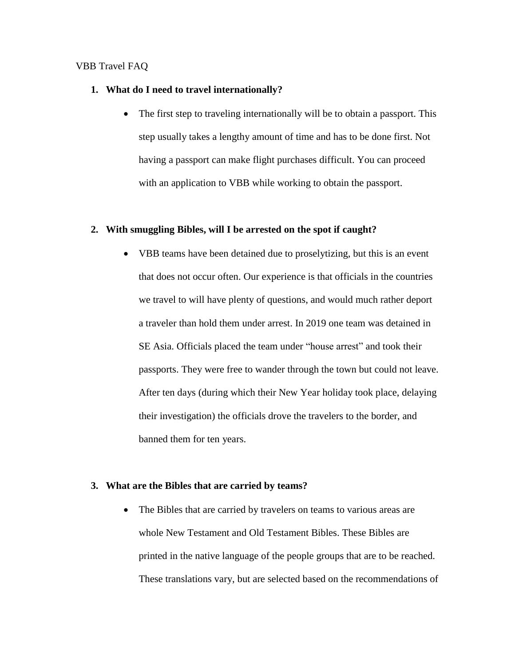#### VBB Travel FAQ

### **1. What do I need to travel internationally?**

• The first step to traveling internationally will be to obtain a passport. This step usually takes a lengthy amount of time and has to be done first. Not having a passport can make flight purchases difficult. You can proceed with an application to VBB while working to obtain the passport.

# **2. With smuggling Bibles, will I be arrested on the spot if caught?**

 VBB teams have been detained due to proselytizing, but this is an event that does not occur often. Our experience is that officials in the countries we travel to will have plenty of questions, and would much rather deport a traveler than hold them under arrest. In 2019 one team was detained in SE Asia. Officials placed the team under "house arrest" and took their passports. They were free to wander through the town but could not leave. After ten days (during which their New Year holiday took place, delaying their investigation) the officials drove the travelers to the border, and banned them for ten years.

# **3. What are the Bibles that are carried by teams?**

• The Bibles that are carried by travelers on teams to various areas are whole New Testament and Old Testament Bibles. These Bibles are printed in the native language of the people groups that are to be reached. These translations vary, but are selected based on the recommendations of